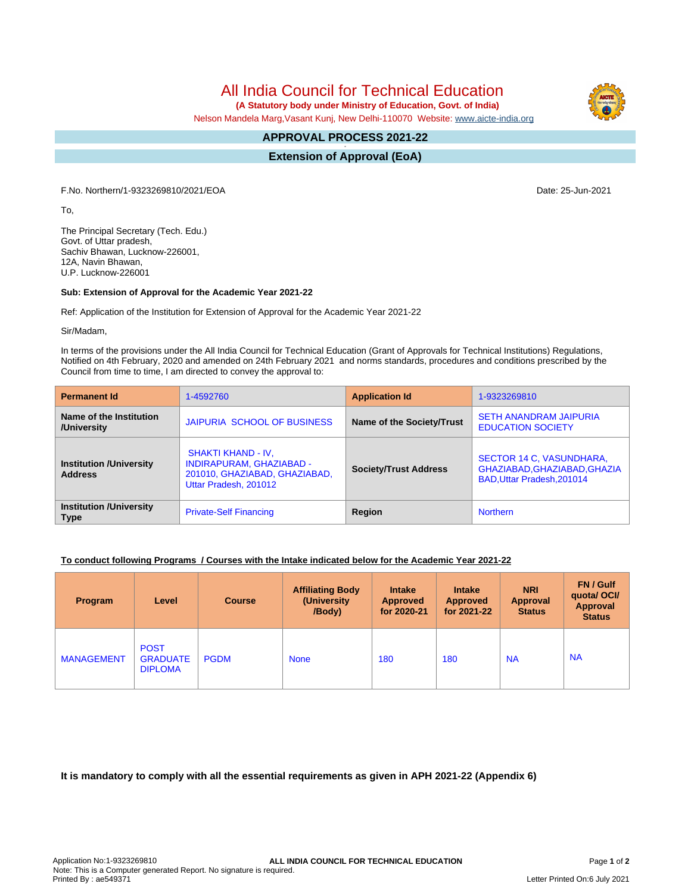All India Council for Technical Education

 **(A Statutory body under Ministry of Education, Govt. of India)**

Nelson Mandela Marg,Vasant Kunj, New Delhi-110070 Website: [www.aicte-india.org](http://www.aicte-india.org)

## **APPROVAL PROCESS 2021-22 -**

**Extension of Approval (EoA)**

F.No. Northern/1-9323269810/2021/EOA Date: 25-Jun-2021

To,

The Principal Secretary (Tech. Edu.) Govt. of Uttar pradesh, Sachiv Bhawan, Lucknow-226001, 12A, Navin Bhawan, U.P. Lucknow-226001

## **Sub: Extension of Approval for the Academic Year 2021-22**

Ref: Application of the Institution for Extension of Approval for the Academic Year 2021-22

Sir/Madam,

In terms of the provisions under the All India Council for Technical Education (Grant of Approvals for Technical Institutions) Regulations, Notified on 4th February, 2020 and amended on 24th February 2021 and norms standards, procedures and conditions prescribed by the Council from time to time, I am directed to convey the approval to:

| <b>Permanent Id</b>                              | 1-4592760                                                                                                              | <b>Application Id</b>        | 1-9323269810                                                                           |  |
|--------------------------------------------------|------------------------------------------------------------------------------------------------------------------------|------------------------------|----------------------------------------------------------------------------------------|--|
| Name of the Institution<br>/University           | JAIPURIA SCHOOL OF BUSINESS                                                                                            | Name of the Society/Trust    | <b>SETH ANANDRAM JAIPURIA</b><br><b>EDUCATION SOCIETY</b>                              |  |
| <b>Institution /University</b><br><b>Address</b> | <b>SHAKTI KHAND - IV.</b><br><b>INDIRAPURAM, GHAZIABAD -</b><br>201010, GHAZIABAD, GHAZIABAD,<br>Uttar Pradesh, 201012 | <b>Society/Trust Address</b> | SECTOR 14 C, VASUNDHARA,<br>GHAZIABAD, GHAZIABAD, GHAZIA<br>BAD, Uttar Pradesh, 201014 |  |
| <b>Institution /University</b><br><b>Type</b>    | <b>Private-Self Financing</b>                                                                                          | Region                       | <b>Northern</b>                                                                        |  |

## **To conduct following Programs / Courses with the Intake indicated below for the Academic Year 2021-22**

| Program           | Level                                            | <b>Course</b> | <b>Affiliating Body</b><br>(University)<br>/Body) | <b>Intake</b><br><b>Approved</b><br>for 2020-21 | <b>Intake</b><br><b>Approved</b><br>for 2021-22 | <b>NRI</b><br><b>Approval</b><br><b>Status</b> | FN / Gulf<br>quotal OCI/<br><b>Approval</b><br><b>Status</b> |
|-------------------|--------------------------------------------------|---------------|---------------------------------------------------|-------------------------------------------------|-------------------------------------------------|------------------------------------------------|--------------------------------------------------------------|
| <b>MANAGEMENT</b> | <b>POST</b><br><b>GRADUATE</b><br><b>DIPLOMA</b> | <b>PGDM</b>   | <b>None</b>                                       | 180                                             | 180                                             | <b>NA</b>                                      | <b>NA</b>                                                    |

**It is mandatory to comply with all the essential requirements as given in APH 2021-22 (Appendix 6)**